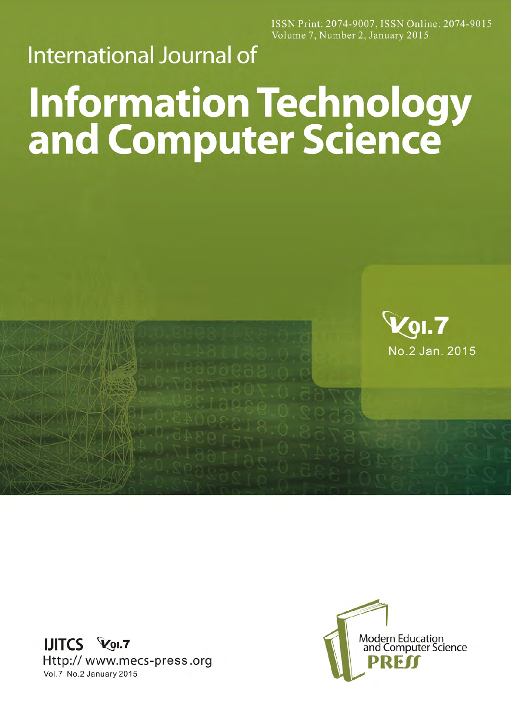ISSN Print: 2074-9007, ISSN Online: 2074-9015 Volume 7, Number 2, January 2015

## **International Journal of**

## **Information Technology<br>and Computer Science**



**IJITCS Vol.7** Http:// www.mecs-press.org Vol.7 No.2 January 2015